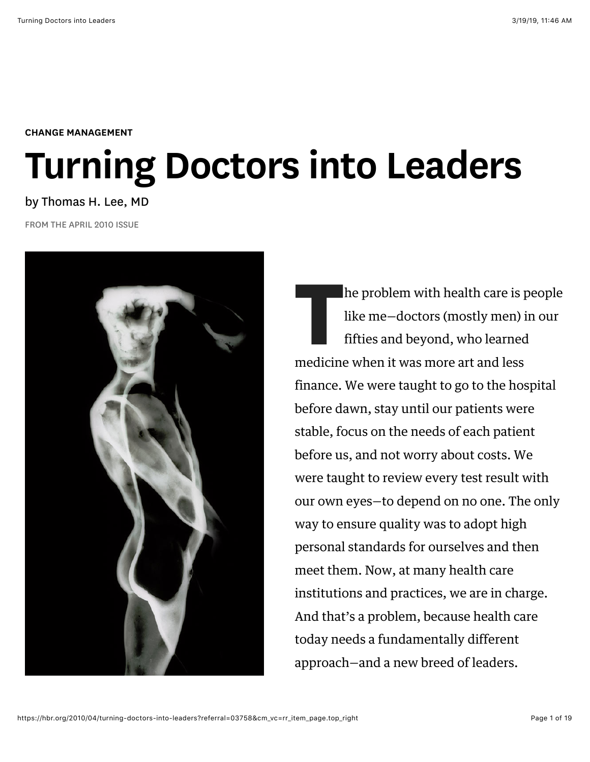#### [CHANGE MANAGEMENT](https://hbr.org/topic/change-management)

# Turning Doctors into Leaders

#### by [Thomas H. Lee, MD](https://hbr.org/search?term=thomas%20h.%20lee%2C%20md)

FROM THE APRIL 2010 ISSUE



The problem with health care is people like me—doctors (mostly men) in our fifties and beyond, who learned medicine when it was more art and less finance. We were taught to go to the hospital before dawn, stay until our patients were stable, focus on the needs of each patient before us, and not worry about costs. We were taught to review every test result with our own eyes—to depend on no one. The only way to ensure quality was to adopt high personal standards for ourselves and then meet them. Now, at many health care institutions and practices, we are in charge. And that's a problem, because health care today needs a fundamentally different approach—and a new breed of leaders.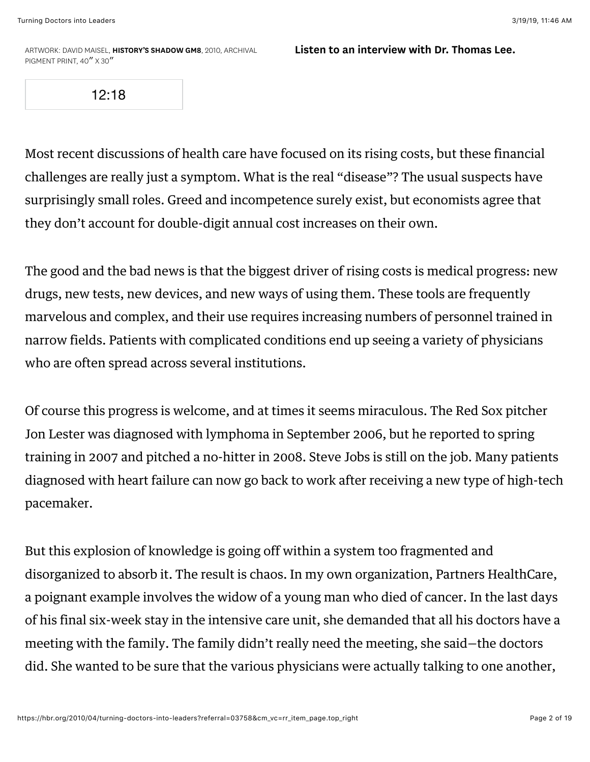ARTWORK: DAVID MAISEL, HISTORY'S SHADOW GM8, 2010, ARCHIVAL PIGMENT PRINT, 40″ X 30″

Listen to an interview with Dr. Thomas Lee.

12:18

Most recent discussions of health care have focused on its rising costs, but these financial challenges are really just a symptom. What is the real "disease"? The usual suspects have surprisingly small roles. Greed and incompetence surely exist, but economists agree that they don't account for double-digit annual cost increases on their own.

The good and the bad news is that the biggest driver of rising costs is medical progress: new drugs, new tests, new devices, and new ways of using them. These tools are frequently marvelous and complex, and their use requires increasing numbers of personnel trained in narrow fields. Patients with complicated conditions end up seeing a variety of physicians who are often spread across several institutions.

Of course this progress is welcome, and at times it seems miraculous. The Red Sox pitcher Jon Lester was diagnosed with lymphoma in September 2006, but he reported to spring training in 2007 and [pitched a no-hitter in 2008](http://mlb.mlb.com/mlb/news/lester_nohitter/index.jsp). Steve Jobs is still on the job. Many patients diagnosed with heart failure can now go back to work after receiving a new type of high-tech pacemaker.

But this explosion of knowledge is going off within a system too fragmented and disorganized to absorb it. The result is chaos. In my own organization, Partners HealthCare, a poignant example involves the widow of a young man who died of cancer. In the last days of his final six-week stay in the intensive care unit, she demanded that all his doctors have a meeting with the family. The family didn't really need the meeting, she said—the doctors did. She wanted to be sure that the various physicians were actually talking to one another,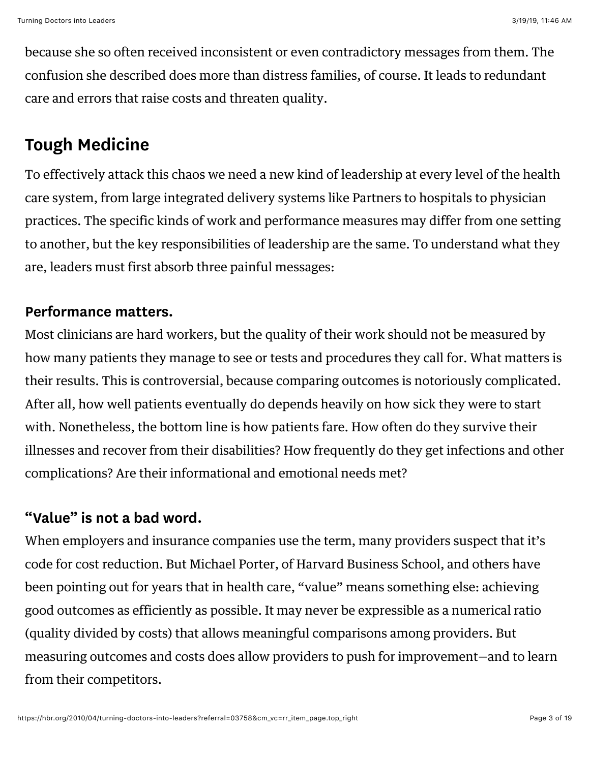because she so often received inconsistent or even contradictory messages from them. The confusion she described does more than distress families, of course. It leads to redundant care and errors that raise costs and threaten quality.

### Tough Medicine

To effectively attack this chaos we need a new kind of leadership at every level of the health care system, from large integrated delivery systems like Partners to hospitals to physician practices. The specific kinds of work and performance measures may differ from one setting to another, but the key responsibilities of leadership are the same. To understand what they are, leaders must first absorb three painful messages:

### Performance matters.

Most clinicians are hard workers, but the quality of their work should not be measured by how many patients they manage to see or tests and procedures they call for. What matters is their results. This is controversial, because comparing outcomes is notoriously complicated. After all, how well patients eventually do depends heavily on how sick they were to start with. Nonetheless, the bottom line is how patients fare. How often do they survive their illnesses and recover from their disabilities? How frequently do they get infections and other complications? Are their informational and emotional needs met?

### "Value" is not a bad word.

When employers and insurance companies use the term, many providers suspect that it's code for cost reduction. But Michael Porter, of Harvard Business School, and others have been pointing out for years that in health care, "value" means something else: achieving good outcomes as efficiently as possible. It may never be expressible as a numerical ratio (quality divided by costs) that allows meaningful comparisons among providers. But measuring outcomes and costs does allow providers to push for improvement—and to learn from their competitors.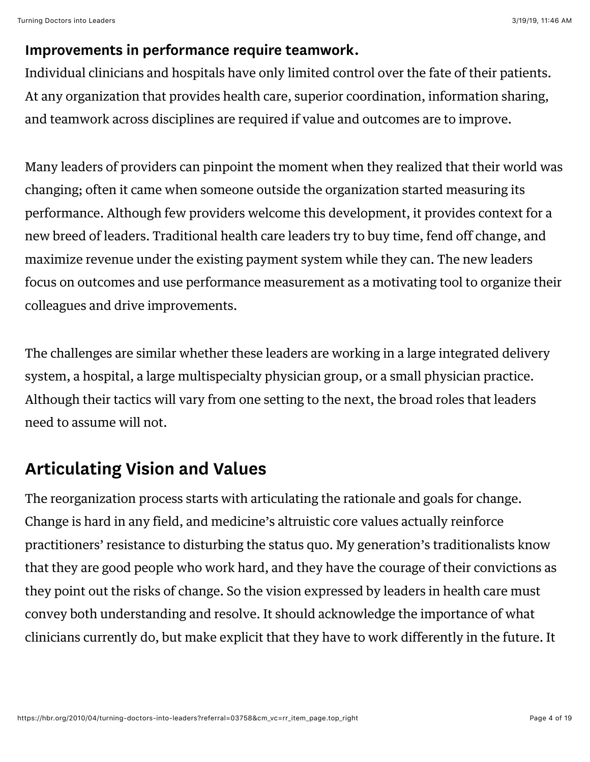### Improvements in performance require teamwork.

Individual clinicians and hospitals have only limited control over the fate of their patients. At any organization that provides health care, superior coordination, information sharing, and teamwork across disciplines are required if value and outcomes are to improve.

Many leaders of providers can pinpoint the moment when they realized that their world was changing; often it came when someone outside the organization started measuring its performance. Although few providers welcome this development, it provides context for a new breed of leaders. Traditional health care leaders try to buy time, fend off change, and maximize revenue under the existing payment system while they can. The new leaders focus on outcomes and use performance measurement as a motivating tool to organize their colleagues and drive improvements.

The challenges are similar whether these leaders are working in a large integrated delivery system, a hospital, a large multispecialty physician group, or a small physician practice. Although their tactics will vary from one setting to the next, the broad roles that leaders need to assume will not.

### Articulating Vision and Values

The reorganization process starts with articulating the rationale and goals for change. Change is hard in any field, and medicine's altruistic core values actually reinforce practitioners' resistance to disturbing the status quo. My generation's traditionalists know that they are good people who work hard, and they have the courage of their convictions as they point out the risks of change. So the vision expressed by leaders in health care must convey both understanding and resolve. It should acknowledge the importance of what clinicians currently do, but make explicit that they have to work differently in the future. It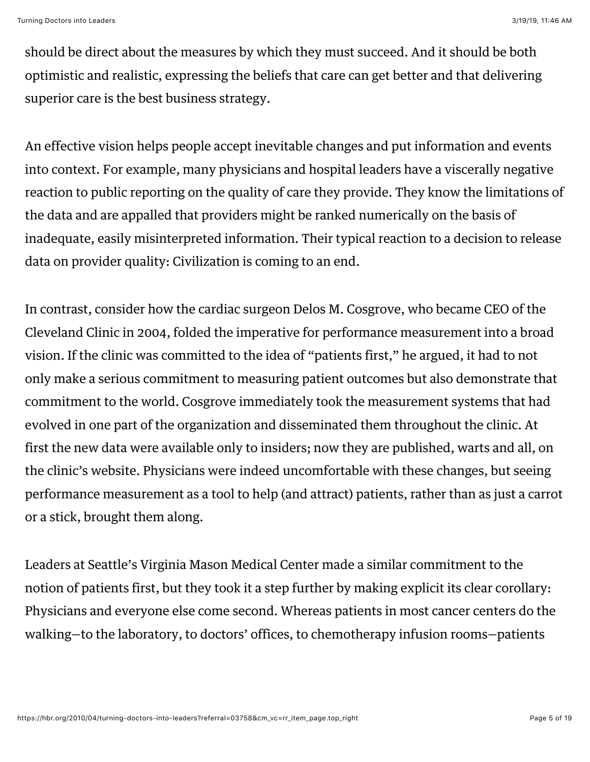should be direct about the measures by which they must succeed. And it should be both optimistic and realistic, expressing the beliefs that care can get better and that delivering superior care is the best business strategy.

An effective vision helps people accept inevitable changes and put information and events into context. For example, many physicians and hospital leaders have a viscerally negative reaction to public reporting on the quality of care they provide. They know the limitations of the data and are appalled that providers might be ranked numerically on the basis of inadequate, easily misinterpreted information. Their typical reaction to a decision to release data on provider quality: Civilization is coming to an end.

In contrast, consider how the cardiac surgeon Delos M. Cosgrove, who became CEO of the Cleveland Clinic in 2004, folded the imperative for performance measurement into a broad vision. If the clinic was committed to the idea of "patients first," he argued, it had to not only make a serious commitment to measuring patient outcomes but also demonstrate that commitment to the world. Cosgrove immediately took the measurement systems that had evolved in one part of the organization and disseminated them throughout the clinic. At first the new data were available only to insiders; now they are published, warts and all, on the clinic's website. Physicians were indeed uncomfortable with these changes, but seeing performance measurement as a tool to help (and attract) patients, rather than as just a carrot or a stick, brought them along.

Leaders at Seattle's Virginia Mason Medical Center made a similar commitment to the notion of patients first, but they took it a step further by making explicit its clear corollary: Physicians and everyone else come second. Whereas patients in most cancer centers do the walking—to the laboratory, to doctors' offices, to chemotherapy infusion rooms—patients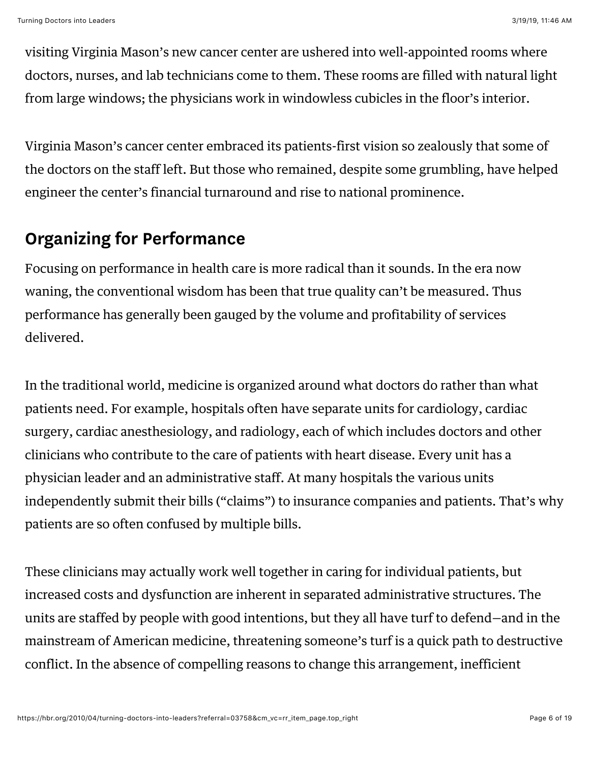visiting Virginia Mason's new cancer center are ushered into well-appointed rooms where doctors, nurses, and lab technicians come to them. These rooms are filled with natural light from large windows; the physicians work in windowless cubicles in the floor's interior.

Virginia Mason's cancer center embraced its patients-first vision so zealously that some of the doctors on the staff left. But those who remained, despite some grumbling, have helped engineer the center's financial turnaround and rise to national prominence.

# Organizing for Performance

Focusing on performance in health care is more radical than it sounds. In the era now waning, the conventional wisdom has been that true quality can't be measured. Thus performance has generally been gauged by the volume and profitability of services delivered.

In the traditional world, medicine is organized around what doctors do rather than what patients need. For example, hospitals often have separate units for cardiology, cardiac surgery, cardiac anesthesiology, and radiology, each of which includes doctors and other clinicians who contribute to the care of patients with heart disease. Every unit has a physician leader and an administrative staff. At many hospitals the various units independently submit their bills ("claims") to insurance companies and patients. That's why patients are so often confused by multiple bills.

These clinicians may actually work well together in caring for individual patients, but increased costs and dysfunction are inherent in separated administrative structures. The units are staffed by people with good intentions, but they all have turf to defend—and in the mainstream of American medicine, threatening someone's turf is a quick path to destructive conflict. In the absence of compelling reasons to change this arrangement, inefficient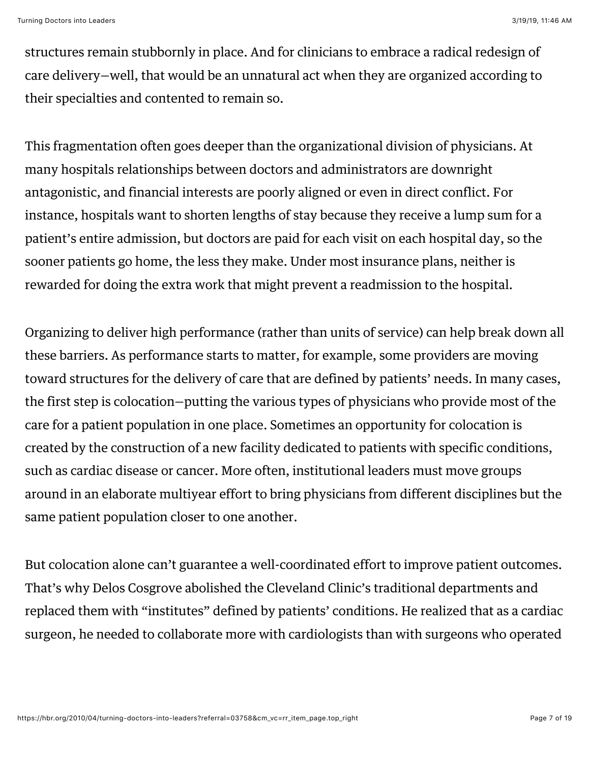structures remain stubbornly in place. And for clinicians to embrace a radical redesign of care delivery—well, that would be an unnatural act when they are organized according to their specialties and contented to remain so.

This fragmentation often goes deeper than the organizational division of physicians. At many hospitals relationships between doctors and administrators are downright antagonistic, and financial interests are poorly aligned or even in direct conflict. For instance, hospitals want to shorten lengths of stay because they receive a lump sum for a patient's entire admission, but doctors are paid for each visit on each hospital day, so the sooner patients go home, the less they make. Under most insurance plans, neither is rewarded for doing the extra work that might prevent a readmission to the hospital.

Organizing to deliver high performance (rather than units of service) can help break down all these barriers. As performance starts to matter, for example, some providers are moving toward structures for the delivery of care that are defined by patients' needs. In many cases, the first step is colocation—putting the various types of physicians who provide most of the care for a patient population in one place. Sometimes an opportunity for colocation is created by the construction of a new facility dedicated to patients with specific conditions, such as cardiac disease or cancer. More often, institutional leaders must move groups around in an elaborate multiyear effort to bring physicians from different disciplines but the same patient population closer to one another.

But colocation alone can't guarantee a well-coordinated effort to improve patient outcomes. That's why Delos Cosgrove abolished the Cleveland Clinic's traditional departments and replaced them with "institutes" defined by patients' conditions. He realized that as a cardiac surgeon, he needed to collaborate more with cardiologists than with surgeons who operated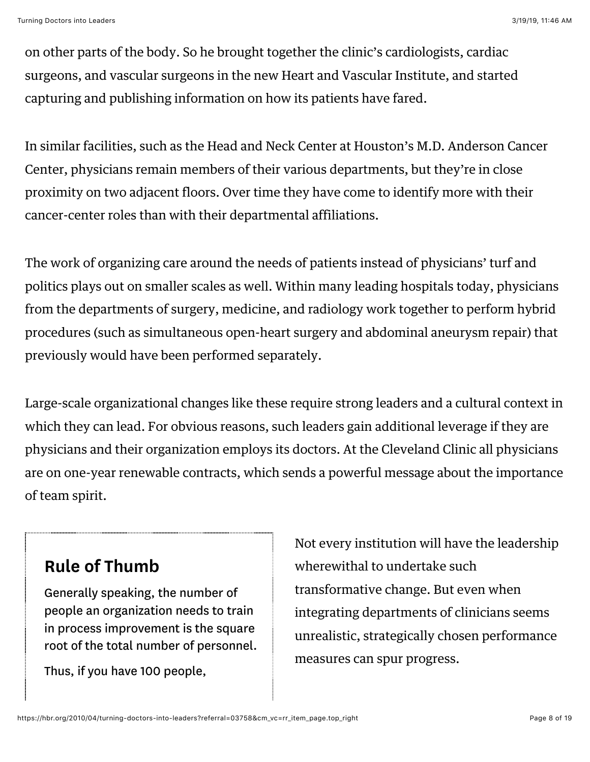on other parts of the body. So he brought together the clinic's cardiologists, cardiac surgeons, and vascular surgeons in the new Heart and Vascular Institute, and started capturing and publishing information on how its patients have fared.

In similar facilities, such as the Head and Neck Center at Houston's M.D. Anderson Cancer Center, physicians remain members of their various departments, but they're in close proximity on two adjacent floors. Over time they have come to identify more with their cancer-center roles than with their departmental affiliations.

The work of organizing care around the needs of patients instead of physicians' turf and politics plays out on smaller scales as well. Within many leading hospitals today, physicians from the departments of surgery, medicine, and radiology work together to perform hybrid procedures (such as simultaneous open-heart surgery and abdominal aneurysm repair) that previously would have been performed separately.

Large-scale organizational changes like these require strong leaders and a cultural context in which they can lead. For obvious reasons, such leaders gain additional leverage if they are physicians and their organization employs its doctors. At the Cleveland Clinic all physicians are on one-year renewable contracts, which sends a powerful message about the importance of team spirit.

### Rule of Thumb

Generally speaking, the number of people an organization needs to train in process improvement is the square root of the total number of personnel.

Thus, if you have 100 people,

Not every institution will have the leadership wherewithal to undertake such transformative change. But even when integrating departments of clinicians seems unrealistic, strategically chosen performance measures can spur progress.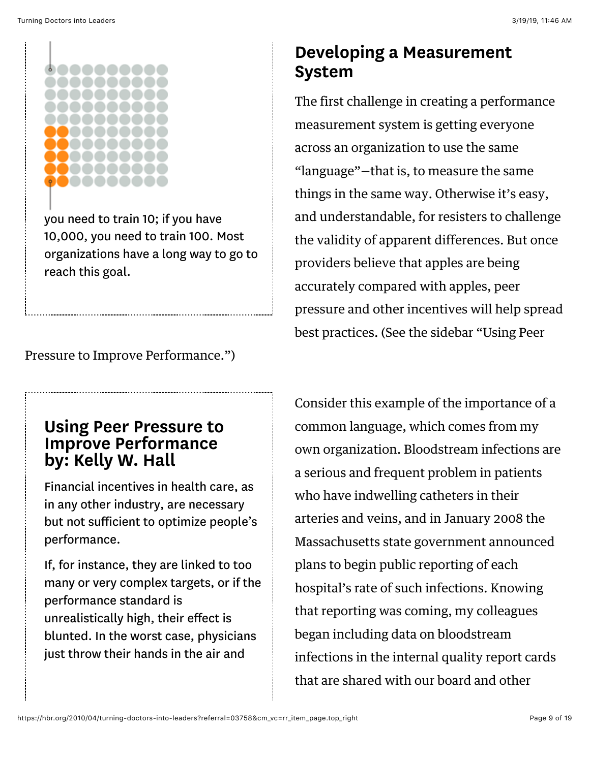

you need to train 10; if you have 10,000, you need to train 100. Most organizations have a long way to go to reach this goal.

#### Pressure to Improve Performance.")

### Using Peer Pressure to Improve Performance by: Kelly W. Hall

Financial incentives in health care, as in any other industry, are necessary but not sufficient to optimize people's performance.

If, for instance, they are linked to too many or very complex targets, or if the performance standard is unrealistically high, their effect is blunted. In the worst case, physicians just throw their hands in the air and

# Developing a Measurement System

The first challenge in creating a performance measurement system is getting everyone across an organization to use the same "language"—that is, to measure the same things in the same way. Otherwise it's easy, and understandable, for resisters to challenge the validity of apparent differences. But once providers believe that apples are being accurately compared with apples, peer pressure and other incentives will help spread best practices. (See the sidebar "Using Peer

Consider this example of the importance of a common language, which comes from my own organization. Bloodstream infections are a serious and frequent problem in patients who have indwelling catheters in their arteries and veins, and in January 2008 the [Massachusetts state government announced](http://www.abouthealthtransparency.org/node/453) plans to begin public reporting of each hospital's rate of such infections. Knowing that reporting was coming, my colleagues began including data on bloodstream infections in the internal quality report cards that are shared with our board and other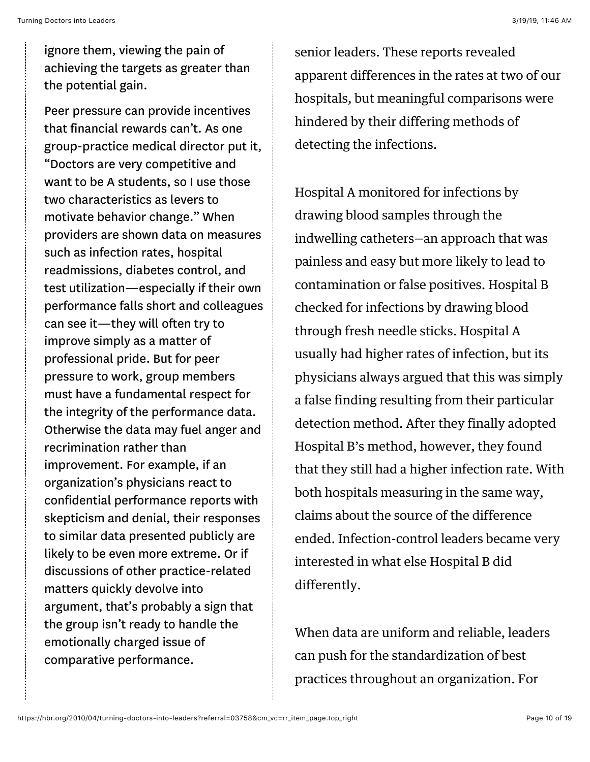ignore them, viewing the pain of achieving the targets as greater than the potential gain.

Peer pressure can provide incentives that financial rewards can't. As one group-practice medical director put it, "Doctors are very competitive and want to be A students, so I use those two characteristics as levers to motivate behavior change." When providers are shown data on measures such as infection rates, hospital readmissions, diabetes control, and test utilization—especially if their own performance falls short and colleagues can see it—they will often try to improve simply as a matter of professional pride. But for peer pressure to work, group members must have a fundamental respect for the integrity of the performance data. Otherwise the data may fuel anger and recrimination rather than improvement. For example, if an organization's physicians react to confidential performance reports with skepticism and denial, their responses to similar data presented publicly are likely to be even more extreme. Or if discussions of other practice-related matters quickly devolve into argument, that's probably a sign that the group isn't ready to handle the emotionally charged issue of comparative performance.

senior leaders. These reports revealed apparent differences in the rates at two of our hospitals, but meaningful comparisons were hindered by their differing methods of detecting the infections.

Hospital A monitored for infections by drawing blood samples through the indwelling catheters—an approach that was painless and easy but more likely to lead to contamination or false positives. Hospital B checked for infections by drawing blood through fresh needle sticks. Hospital A usually had higher rates of infection, but its physicians always argued that this was simply a false finding resulting from their particular detection method. After they finally adopted Hospital B's method, however, they found that they still had a higher infection rate. With both hospitals measuring in the same way, claims about the source of the difference ended. Infection-control leaders became very interested in what else Hospital B did differently.

When data are uniform and reliable, leaders can push for the standardization of best practices throughout an organization. For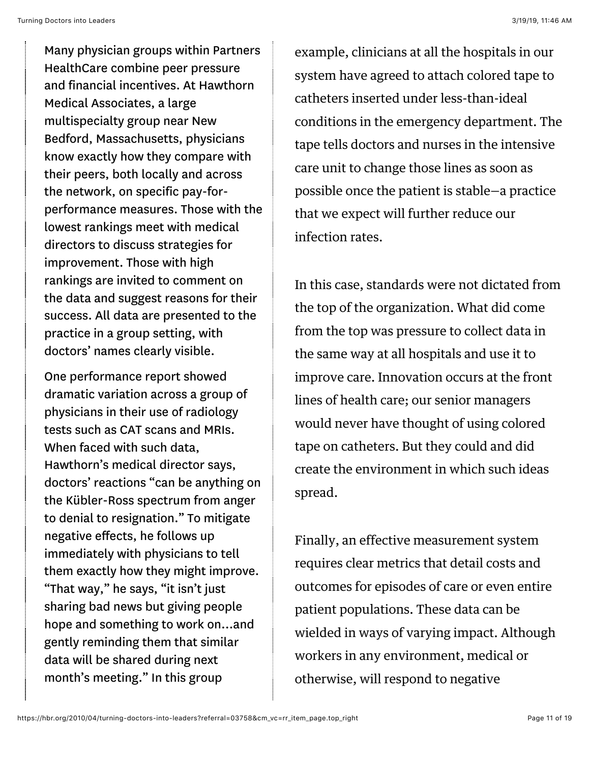Many physician groups within Partners HealthCare combine peer pressure and financial incentives. At Hawthorn Medical Associates, a large multispecialty group near New Bedford, Massachusetts, physicians know exactly how they compare with their peers, both locally and across the network, on specific pay-forperformance measures. Those with the lowest rankings meet with medical directors to discuss strategies for improvement. Those with high rankings are invited to comment on the data and suggest reasons for their success. All data are presented to the practice in a group setting, with doctors' names clearly visible.

One performance report showed dramatic variation across a group of physicians in their use of radiology tests such as CAT scans and MRIs. When faced with such data, Hawthorn's medical director says, doctors' reactions "can be anything on the Kübler-Ross spectrum from anger to denial to resignation." To mitigate negative effects, he follows up immediately with physicians to tell them exactly how they might improve. "That way," he says, "it isn't just sharing bad news but giving people hope and something to work on…and gently reminding them that similar data will be shared during next month's meeting." In this group

example, clinicians at all the hospitals in our system have agreed to attach colored tape to catheters inserted under less-than-ideal conditions in the emergency department. The tape tells doctors and nurses in the intensive care unit to change those lines as soon as possible once the patient is stable—a practice that we expect will further reduce our infection rates.

In this case, standards were not dictated from the top of the organization. What did come from the top was pressure to collect data in the same way at all hospitals and use it to improve care. Innovation occurs at the front lines of health care; our senior managers would never have thought of using colored tape on catheters. But they could and did create the environment in which such ideas spread.

Finally, an effective measurement system requires clear metrics that detail costs and outcomes for episodes of care or even entire patient populations. These data can be wielded in ways of varying impact. Although workers in any environment, medical or otherwise, will respond to negative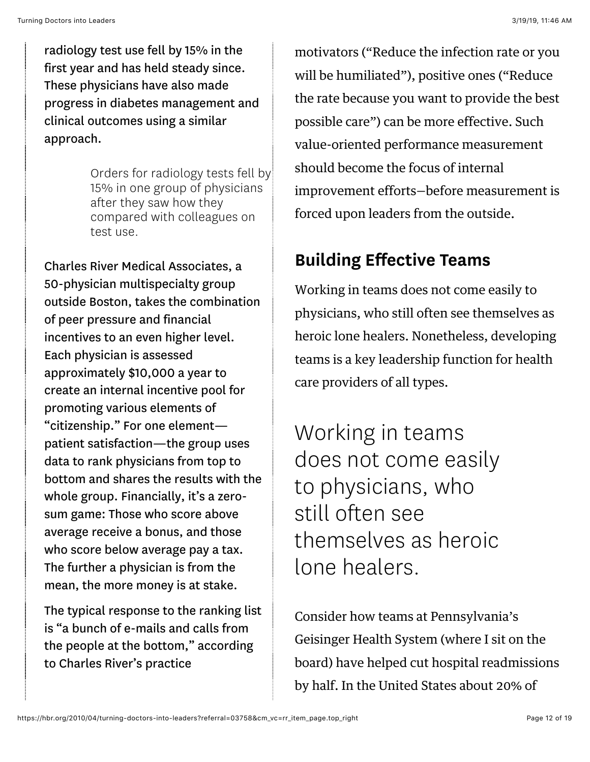radiology test use fell by 15% in the first year and has held steady since. These physicians have also made progress in diabetes management and clinical outcomes using a similar approach.

> Orders for radiology tests fell by 15% in one group of physicians after they saw how they compared with colleagues on test use.

Charles River Medical Associates, a 50-physician multispecialty group outside Boston, takes the combination of peer pressure and financial incentives to an even higher level. Each physician is assessed approximately \$10,000 a year to create an internal incentive pool for promoting various elements of "citizenship." For one element patient satisfaction—the group uses data to rank physicians from top to bottom and shares the results with the whole group. Financially, it's a zerosum game: Those who score above average receive a bonus, and those who score below average pay a tax. The further a physician is from the mean, the more money is at stake.

The typical response to the ranking list is "a bunch of e-mails and calls from the people at the bottom," according to Charles River's practice

motivators ("Reduce the infection rate or you will be humiliated"), positive ones ("Reduce the rate because you want to provide the best possible care") can be more effective. Such value-oriented performance measurement should become the focus of internal improvement efforts—before measurement is forced upon leaders from the outside.

# Building Effective Teams

Working in teams does not come easily to physicians, who still often see themselves as heroic lone healers. Nonetheless, developing teams is a key leadership function for health care providers of all types.

Working in teams does not come easily to physicians, who still often see themselves as heroic lone healers.

Consider how teams at Pennsylvania's Geisinger Health System (where I sit on the board) have helped cut hospital readmissions by half. In the United States about 20% of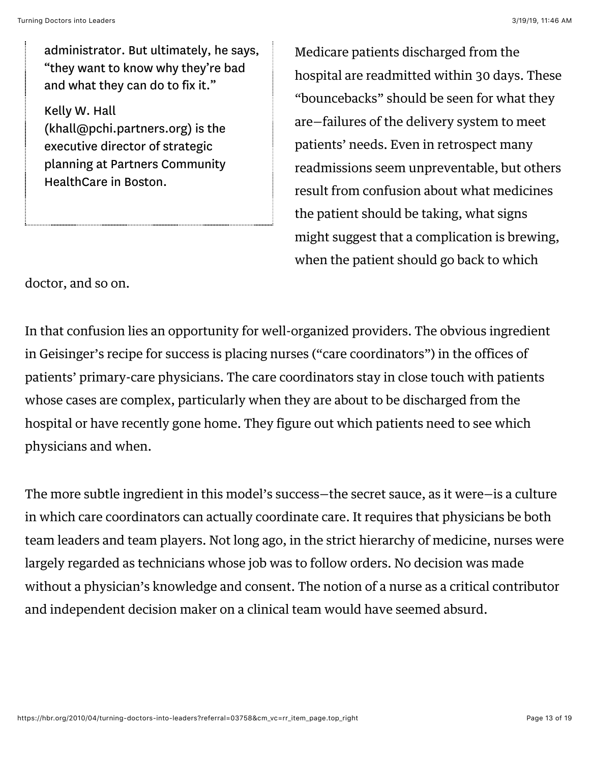administrator. But ultimately, he says, "they want to know why they're bad and what they can do to fix it."

Kelly W. Hall (khall@pchi.partners.org) is the executive director of strategic planning at Partners Community HealthCare in Boston.

Medicare patients discharged from the hospital are readmitted within 30 days. These "bouncebacks" should be seen for what they are—failures of the delivery system to meet patients' needs. Even in retrospect many readmissions seem unpreventable, but others result from confusion about what medicines the patient should be taking, what signs might suggest that a complication is brewing, when the patient should go back to which

doctor, and so on.

In that confusion lies an opportunity for well-organized providers. The obvious ingredient in Geisinger's recipe for success is placing nurses ("care coordinators") in the offices of patients' primary-care physicians. The care coordinators stay in close touch with patients whose cases are complex, particularly when they are about to be discharged from the hospital or have recently gone home. They figure out which patients need to see which physicians and when.

The more subtle ingredient in this model's success—the secret sauce, as it were—is a culture in which care coordinators can actually coordinate care. It requires that physicians be both team leaders and team players. Not long ago, in the strict hierarchy of medicine, nurses were largely regarded as technicians whose job was to follow orders. No decision was made without a physician's knowledge and consent. The notion of a nurse as a critical contributor and independent decision maker on a clinical team would have seemed absurd.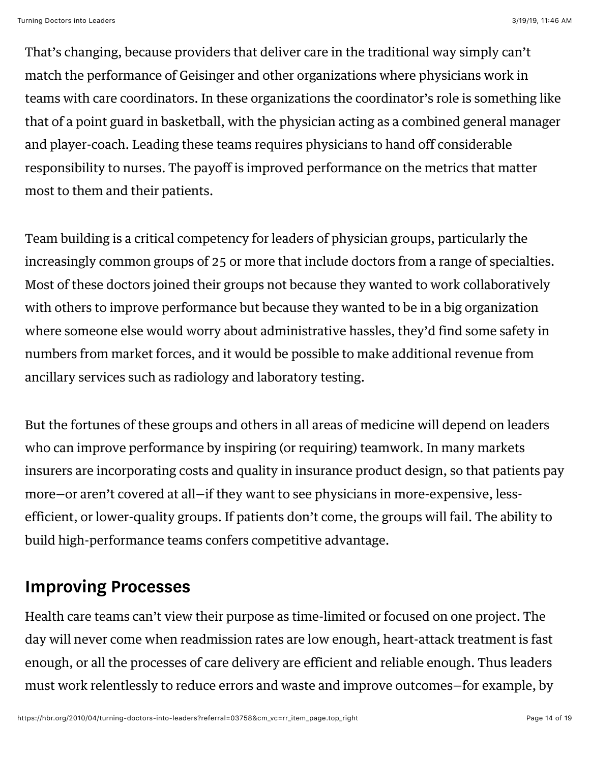That's changing, because providers that deliver care in the traditional way simply can't match the performance of Geisinger and other organizations where physicians work in teams with care coordinators. In these organizations the coordinator's role is something like that of a point guard in basketball, with the physician acting as a combined general manager and player-coach. Leading these teams requires physicians to hand off considerable responsibility to nurses. The payoff is improved performance on the metrics that matter most to them and their patients.

Team building is a critical competency for leaders of physician groups, particularly the increasingly common groups of 25 or more that include doctors from a range of specialties. Most of these doctors joined their groups not because they wanted to work collaboratively with others to improve performance but because they wanted to be in a big organization where someone else would worry about administrative hassles, they'd find some safety in numbers from market forces, and it would be possible to make additional revenue from ancillary services such as radiology and laboratory testing.

But the fortunes of these groups and others in all areas of medicine will depend on leaders who can improve performance by inspiring (or requiring) teamwork. In many markets insurers are incorporating costs and quality in insurance product design, so that patients pay more—or aren't covered at all—if they want to see physicians in more-expensive, lessefficient, or lower-quality groups. If patients don't come, the groups will fail. The ability to build high-performance teams confers competitive advantage.

### Improving Processes

Health care teams can't view their purpose as time-limited or focused on one project. The day will never come when readmission rates are low enough, heart-attack treatment is fast enough, or all the processes of care delivery are efficient and reliable enough. Thus leaders must work relentlessly to reduce errors and waste and improve outcomes—for example, by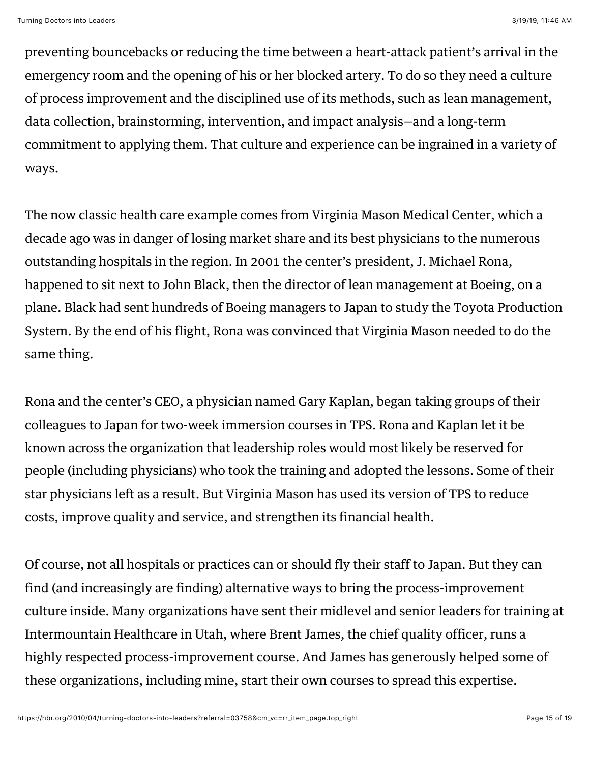preventing bouncebacks or reducing the time between a heart-attack patient's arrival in the emergency room and the opening of his or her blocked artery. To do so they need a culture of process improvement and the disciplined use of its methods, such as lean management, data collection, brainstorming, intervention, and impact analysis—and a long-term commitment to applying them. That culture and experience can be ingrained in a variety of ways.

The now classic health care example comes from Virginia Mason Medical Center, which a decade ago was in danger of losing market share and its best physicians to the numerous outstanding hospitals in the region. In 2001 the center's president, J. Michael Rona, happened to sit next to John Black, then the director of lean management at Boeing, on a plane. Black had sent hundreds of Boeing managers to Japan to study the Toyota Production System. By the end of his flight, Rona was convinced that Virginia Mason needed to do the same thing.

Rona and the center's CEO, a physician named Gary Kaplan, began taking groups of their colleagues to Japan for two-week immersion courses in TPS. Rona and Kaplan let it be known across the organization that leadership roles would most likely be reserved for people (including physicians) who took the training and adopted the lessons. Some of their star physicians left as a result. But Virginia Mason has used its version of TPS to reduce costs, improve quality and service, and strengthen its financial health.

Of course, not all hospitals or practices can or should fly their staff to Japan. But they can find (and increasingly are finding) alternative ways to bring the process-improvement culture inside. Many organizations have sent their midlevel and senior leaders for training at Intermountain Healthcare in Utah, where Brent James, the chief quality officer, runs a highly respected process-improvement course. And James has generously helped some of these organizations, including mine, start their own courses to spread this expertise.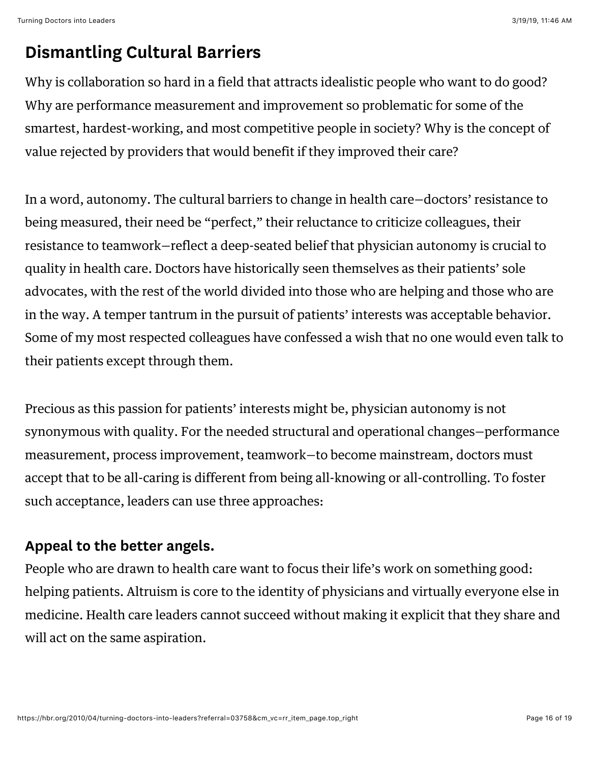# Dismantling Cultural Barriers

Why is collaboration so hard in a field that attracts idealistic people who want to do good? Why are performance measurement and improvement so problematic for some of the smartest, hardest-working, and most competitive people in society? Why is the concept of value rejected by providers that would benefit if they improved their care?

In a word, autonomy. The cultural barriers to change in health care—doctors' resistance to being measured, their need be "perfect," their reluctance to criticize colleagues, their resistance to teamwork—reflect a deep-seated belief that physician autonomy is crucial to quality in health care. Doctors have historically seen themselves as their patients' sole advocates, with the rest of the world divided into those who are helping and those who are in the way. A temper tantrum in the pursuit of patients' interests was acceptable behavior. Some of my most respected colleagues have confessed a wish that no one would even talk to their patients except through them.

Precious as this passion for patients' interests might be, physician autonomy is not synonymous with quality. For the needed structural and operational changes—performance measurement, process improvement, teamwork—to become mainstream, doctors must accept that to be all-caring is different from being all-knowing or all-controlling. To foster such acceptance, leaders can use three approaches:

### Appeal to the better angels.

People who are drawn to health care want to focus their life's work on something good: helping patients. Altruism is core to the identity of physicians and virtually everyone else in medicine. Health care leaders cannot succeed without making it explicit that they share and will act on the same aspiration.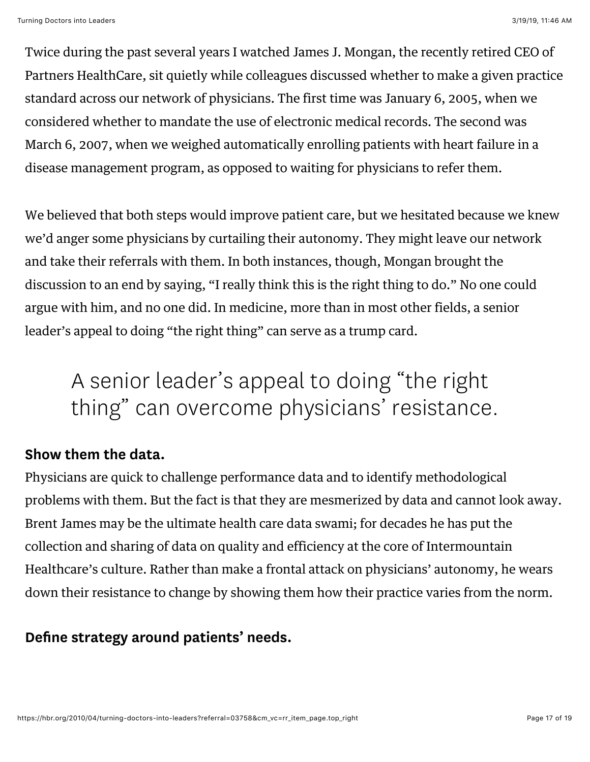Twice during the past several years I watched James J. Mongan, the recently retired CEO of Partners HealthCare, sit quietly while colleagues discussed whether to make a given practice standard across our network of physicians. The first time was January 6, 2005, when we considered whether to mandate the use of electronic medical records. The second was March 6, 2007, when we weighed automatically enrolling patients with heart failure in a disease management program, as opposed to waiting for physicians to refer them.

We believed that both steps would improve patient care, but we hesitated because we knew we'd anger some physicians by curtailing their autonomy. They might leave our network and take their referrals with them. In both instances, though, Mongan brought the discussion to an end by saying, "I really think this is the right thing to do." No one could argue with him, and no one did. In medicine, more than in most other fields, a senior leader's appeal to doing "the right thing" can serve as a trump card.

# A senior leader's appeal to doing "the right thing" can overcome physicians' resistance.

#### Show them the data.

Physicians are quick to challenge performance data and to identify methodological problems with them. But the fact is that they are mesmerized by data and cannot look away. Brent James may be the ultimate health care data swami; for decades he has put the collection and sharing of data on quality and efficiency at the core of Intermountain Healthcare's culture. Rather than make a frontal attack on physicians' autonomy, he wears down their resistance to change by showing them how their practice varies from the norm.

#### Define strategy around patients' needs.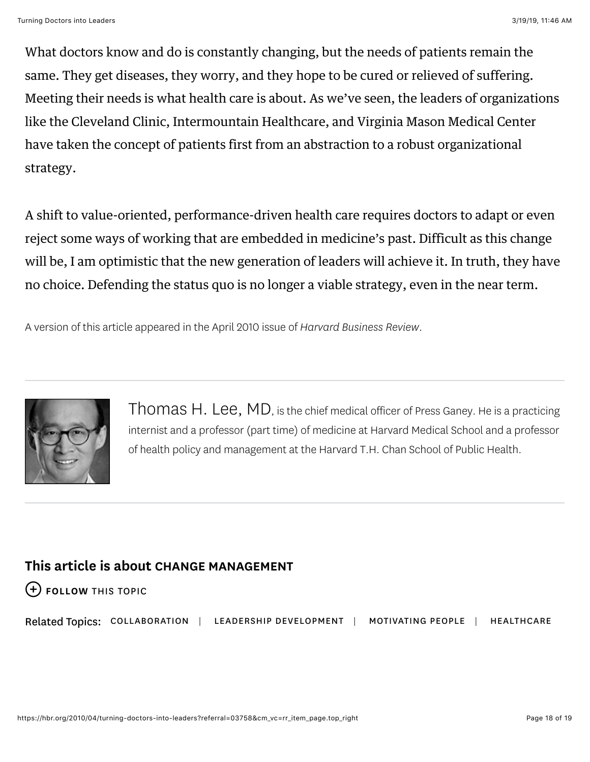What doctors know and do is constantly changing, but the needs of patients remain the same. They get diseases, they worry, and they hope to be cured or relieved of suffering. Meeting their needs is what health care is about. As we've seen, the leaders of organizations like the Cleveland Clinic, Intermountain Healthcare, and Virginia Mason Medical Center have taken the concept of patients first from an abstraction to a robust organizational strategy.

A shift to value-oriented, performance-driven health care requires doctors to adapt or even reject some ways of working that are embedded in medicine's past. Difficult as this change will be, I am optimistic that the new generation of leaders will achieve it. In truth, they have no choice. Defending the status quo is no longer a viable strategy, even in the near term.

A version of this article appeared in the [April 2010](https://hbr.org/archive-toc/BR1004) issue of Harvard Business Review.



[Thomas H. Lee, MD,](https://hbr.org/search?term=thomas%20h.%20lee%2C%20md&search_type=search-all) is the chief medical officer of Press Ganey. He is a practicing internist and a professor (part time) of medicine at Harvard Medical School and a professor of health policy and management at the Harvard T.H. Chan School of Public Health.

#### This article is about [CHANGE MANAGEMENT](https://hbr.org/topic/change-management)

 $(+)$  [FOLLOW THIS TOPIC](https://hbr.org/2010/04/turning-doctors-into-leaders?referral=03758&cm_vc=rr_item_page.top_right#)

Related Topics: [COLLABORATION](https://hbr.org/topic/collaboration) | [LEADERSHIP DEVELOPMENT](https://hbr.org/topic/leadership-development) | [MOTIVATING PEOPLE](https://hbr.org/topic/motivating-people) | [HEALTHCARE](https://hbr.org/topic/healthcare)